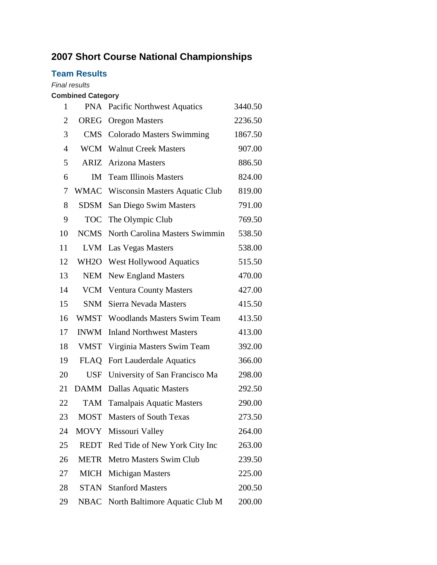# **Short Course National Championships**

## **Team Results**

#### *Final results*

### **Combined Category**

| 1              | <b>PNA</b>        | <b>Pacific Northwest Aquatics</b>   | 3440.50 |
|----------------|-------------------|-------------------------------------|---------|
| $\overline{2}$ | <b>OREG</b>       | <b>Oregon Masters</b>               | 2236.50 |
| 3              | <b>CMS</b>        | <b>Colorado Masters Swimming</b>    | 1867.50 |
| $\overline{4}$ | WCM               | <b>Walnut Creek Masters</b>         | 907.00  |
| 5              | ARIZ              | Arizona Masters                     | 886.50  |
| 6              | IM                | <b>Team Illinois Masters</b>        | 824.00  |
| 7              |                   | WMAC Wisconsin Masters Aquatic Club | 819.00  |
| 8              | SDSM              | San Diego Swim Masters              | 791.00  |
| 9              |                   | TOC The Olympic Club                | 769.50  |
| 10             | <b>NCMS</b>       | North Carolina Masters Swimmin      | 538.50  |
| 11             | LVM               | Las Vegas Masters                   | 538.00  |
| 12             | WH <sub>2</sub> O | <b>West Hollywood Aquatics</b>      | 515.50  |
| 13             | <b>NEM</b>        | <b>New England Masters</b>          | 470.00  |
| 14             | VCM               | <b>Ventura County Masters</b>       | 427.00  |
| 15             | <b>SNM</b>        | Sierra Nevada Masters               | 415.50  |
| 16             | WMST              | <b>Woodlands Masters Swim Team</b>  | 413.50  |
| 17             | <b>INWM</b>       | <b>Inland Northwest Masters</b>     | 413.00  |
| 18             | <b>VMST</b>       | Virginia Masters Swim Team          | 392.00  |
| 19             | FLAQ              | Fort Lauderdale Aquatics            | 366.00  |
| 20             | <b>USF</b>        | University of San Francisco Ma      | 298.00  |
| 21             | <b>DAMM</b>       | <b>Dallas Aquatic Masters</b>       | 292.50  |
| 22             | TAM               | <b>Tamalpais Aquatic Masters</b>    | 290.00  |
| 23             | <b>MOST</b>       | <b>Masters of South Texas</b>       | 273.50  |
| 24             |                   | MOVY Missouri Valley                | 264.00  |
| 25             | REDT              | Red Tide of New York City Inc       | 263.00  |
| 26             | METR              | <b>Metro Masters Swim Club</b>      | 239.50  |
| 27             | <b>MICH</b>       | Michigan Masters                    | 225.00  |
| 28             | STAN              | <b>Stanford Masters</b>             | 200.50  |
| 29             | NBAC              | North Baltimore Aquatic Club M      | 200.00  |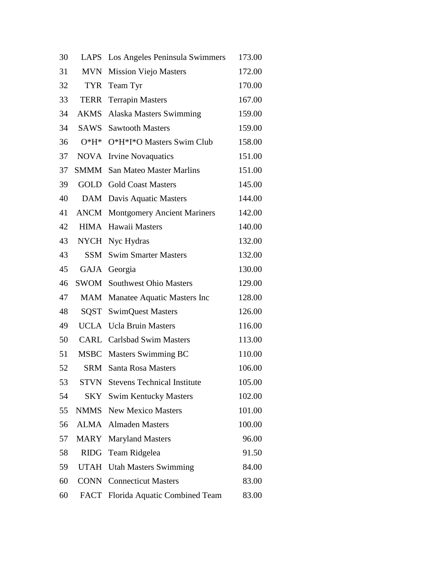| 30 | <b>LAPS</b> | Los Angeles Peninsula Swimmers     | 173.00 |
|----|-------------|------------------------------------|--------|
| 31 | <b>MVN</b>  | <b>Mission Viejo Masters</b>       | 172.00 |
| 32 | <b>TYR</b>  | Team Tyr                           | 170.00 |
| 33 | TERR        | <b>Terrapin Masters</b>            | 167.00 |
| 34 | AKMS        | Alaska Masters Swimming            | 159.00 |
| 34 | SAWS        | <b>Sawtooth Masters</b>            | 159.00 |
| 36 | $O^*H^*$    | O*H*I*O Masters Swim Club          | 158.00 |
| 37 | <b>NOVA</b> | <b>Irvine Novaquatics</b>          | 151.00 |
| 37 | SMMM        | <b>San Mateo Master Marlins</b>    | 151.00 |
| 39 | GOLD        | <b>Gold Coast Masters</b>          | 145.00 |
| 40 | DAM         | Davis Aquatic Masters              | 144.00 |
| 41 | ANCM        | <b>Montgomery Ancient Mariners</b> | 142.00 |
| 42 | HIMA        | Hawaii Masters                     | 140.00 |
| 43 | <b>NYCH</b> | Nyc Hydras                         | 132.00 |
| 43 | SSM         | <b>Swim Smarter Masters</b>        | 132.00 |
| 45 | GAJA        | Georgia                            | 130.00 |
| 46 |             | <b>SWOM</b> Southwest Ohio Masters | 129.00 |
| 47 | MAM         | Manatee Aquatic Masters Inc        | 128.00 |
| 48 | SQST        | <b>SwimQuest Masters</b>           | 126.00 |
| 49 |             | <b>UCLA</b> Ucla Bruin Masters     | 116.00 |
| 50 |             | <b>CARL</b> Carlsbad Swim Masters  | 113.00 |
| 51 | MSBC        | Masters Swimming BC                | 110.00 |
| 52 | SRM         | <b>Santa Rosa Masters</b>          | 106.00 |
| 53 | STVN        | <b>Stevens Technical Institute</b> | 105.00 |
| 54 | SKY         | <b>Swim Kentucky Masters</b>       | 102.00 |
| 55 | <b>NMMS</b> | <b>New Mexico Masters</b>          | 101.00 |
| 56 | ALMA        | <b>Almaden Masters</b>             | 100.00 |
| 57 | <b>MARY</b> | <b>Maryland Masters</b>            | 96.00  |
| 58 | <b>RIDG</b> | Team Ridgelea                      | 91.50  |
| 59 | <b>UTAH</b> | <b>Utah Masters Swimming</b>       | 84.00  |
| 60 | <b>CONN</b> | <b>Connecticut Masters</b>         | 83.00  |
| 60 | FACT        | Florida Aquatic Combined Team      | 83.00  |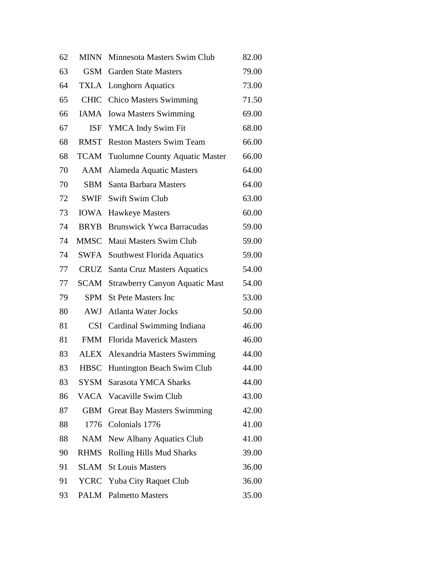| 62 | <b>MINN</b> | Minnesota Masters Swim Club           | 82.00 |
|----|-------------|---------------------------------------|-------|
| 63 | <b>GSM</b>  | <b>Garden State Masters</b>           | 79.00 |
| 64 | TXLA        | <b>Longhorn Aquatics</b>              | 73.00 |
| 65 | <b>CHIC</b> | <b>Chico Masters Swimming</b>         | 71.50 |
| 66 | IAMA        | <b>Iowa Masters Swimming</b>          | 69.00 |
| 67 | ISF         | YMCA Indy Swim Fit                    | 68.00 |
| 68 | RMST        | <b>Reston Masters Swim Team</b>       | 66.00 |
| 68 | TCAM        | <b>Tuolumne County Aquatic Master</b> | 66.00 |
| 70 | AAM         | <b>Alameda Aquatic Masters</b>        | 64.00 |
| 70 | SBM         | Santa Barbara Masters                 | 64.00 |
| 72 | SWIF        | <b>Swift Swim Club</b>                | 63.00 |
| 73 | IOWA        | <b>Hawkeye Masters</b>                | 60.00 |
| 74 | <b>BRYB</b> | <b>Brunswick Ywca Barracudas</b>      | 59.00 |
| 74 | MMSC        | Maui Masters Swim Club                | 59.00 |
| 74 | <b>SWFA</b> | Southwest Florida Aquatics            | 59.00 |
| 77 | CRUZ        | Santa Cruz Masters Aquatics           | 54.00 |
| 77 | SCAM        | <b>Strawberry Canyon Aquatic Mast</b> | 54.00 |
| 79 | <b>SPM</b>  | <b>St Pete Masters Inc</b>            | 53.00 |
| 80 | AWJ         | <b>Atlanta Water Jocks</b>            | 50.00 |
| 81 |             | CSI Cardinal Swimming Indiana         | 46.00 |
| 81 | <b>FMM</b>  | <b>Florida Mayerick Masters</b>       | 46.00 |
| 83 | ALEX        | Alexandria Masters Swimming           | 44.00 |
| 83 | <b>HBSC</b> | Huntington Beach Swim Club            | 44.00 |
| 83 | SYSM        | Sarasota YMCA Sharks                  | 44.00 |
| 86 |             | VACA Vacaville Swim Club              | 43.00 |
| 87 | <b>GBM</b>  | <b>Great Bay Masters Swimming</b>     | 42.00 |
| 88 |             | 1776 Colonials 1776                   | 41.00 |
| 88 | NAM         | New Albany Aquatics Club              | 41.00 |
| 90 | <b>RHMS</b> | Rolling Hills Mud Sharks              | 39.00 |
| 91 | SLAM        | <b>St Louis Masters</b>               | 36.00 |
| 91 |             | <b>YCRC</b> Yuba City Raquet Club     | 36.00 |
| 93 | PALM        | <b>Palmetto Masters</b>               | 35.00 |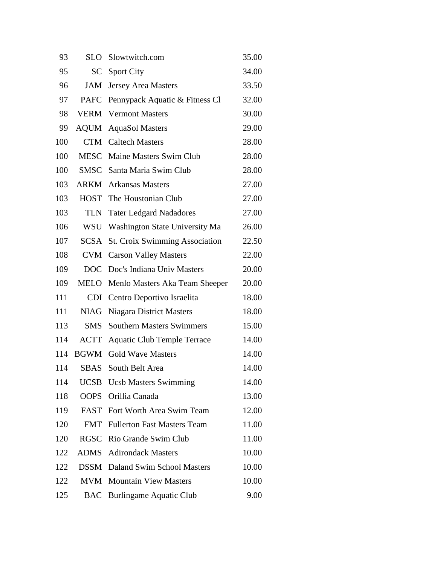| 93  | <b>SLO</b>  | Slowtwitch.com                        | 35.00 |
|-----|-------------|---------------------------------------|-------|
| 95  | SC          | <b>Sport City</b>                     | 34.00 |
| 96  | <b>JAM</b>  | <b>Jersey Area Masters</b>            | 33.50 |
| 97  | <b>PAFC</b> | Pennypack Aquatic & Fitness Cl        | 32.00 |
| 98  | <b>VERM</b> | <b>Vermont Masters</b>                | 30.00 |
| 99  | <b>AQUM</b> | <b>AquaSol Masters</b>                | 29.00 |
| 100 | <b>CTM</b>  | <b>Caltech Masters</b>                | 28.00 |
| 100 | <b>MESC</b> | Maine Masters Swim Club               | 28.00 |
| 100 |             | <b>SMSC</b> Santa Maria Swim Club     | 28.00 |
| 103 |             | <b>ARKM</b> Arkansas Masters          | 27.00 |
| 103 | <b>HOST</b> | The Houstonian Club                   | 27.00 |
| 103 | <b>TLN</b>  | <b>Tater Ledgard Nadadores</b>        | 27.00 |
| 106 | <b>WSU</b>  | Washington State University Ma        | 26.00 |
| 107 | <b>SCSA</b> | <b>St. Croix Swimming Association</b> | 22.50 |
| 108 | <b>CVM</b>  | <b>Carson Valley Masters</b>          | 22.00 |
| 109 | <b>DOC</b>  | Doc's Indiana Univ Masters            | 20.00 |
| 109 | <b>MELO</b> | Menlo Masters Aka Team Sheeper        | 20.00 |
| 111 | <b>CDI</b>  | Centro Deportivo Israelita            | 18.00 |
| 111 | <b>NIAG</b> | <b>Niagara District Masters</b>       | 18.00 |
| 113 | <b>SMS</b>  | <b>Southern Masters Swimmers</b>      | 15.00 |
| 114 | <b>ACTT</b> | <b>Aquatic Club Temple Terrace</b>    | 14.00 |
| 114 | <b>BGWM</b> | <b>Gold Wave Masters</b>              | 14.00 |
| 114 | <b>SBAS</b> | South Belt Area                       | 14.00 |
| 114 | <b>UCSB</b> | <b>Ucsb Masters Swimming</b>          | 14.00 |
| 118 | <b>OOPS</b> | Orillia Canada                        | 13.00 |
| 119 | <b>FAST</b> | Fort Worth Area Swim Team             | 12.00 |
| 120 | <b>FMT</b>  | <b>Fullerton Fast Masters Team</b>    | 11.00 |
| 120 | <b>RGSC</b> | Rio Grande Swim Club                  | 11.00 |
| 122 | <b>ADMS</b> | <b>Adirondack Masters</b>             | 10.00 |
| 122 | <b>DSSM</b> | Daland Swim School Masters            | 10.00 |
| 122 | <b>MVM</b>  | <b>Mountain View Masters</b>          | 10.00 |
| 125 | <b>BAC</b>  | <b>Burlingame Aquatic Club</b>        | 9.00  |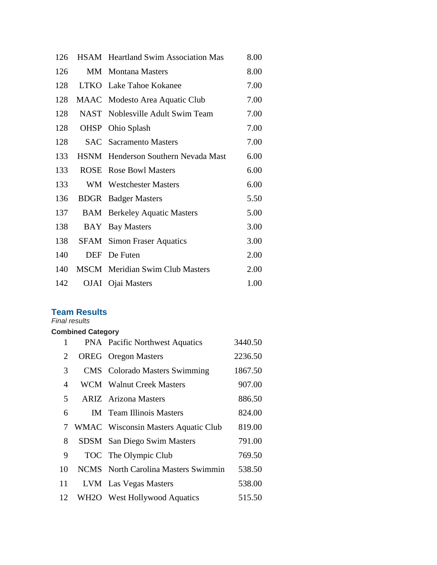| 126 |      | HSAM Heartland Swim Association Mas    | 8.00 |
|-----|------|----------------------------------------|------|
| 126 | MМ   | <b>Montana Masters</b>                 | 8.00 |
| 128 |      | LTKO Lake Tahoe Kokanee                | 7.00 |
| 128 |      | MAAC Modesto Area Aquatic Club         | 7.00 |
| 128 |      | NAST Noblesville Adult Swim Team       | 7.00 |
| 128 | OHSP | Ohio Splash                            | 7.00 |
| 128 |      | <b>SAC</b> Sacramento Masters          | 7.00 |
| 133 |      | HSNM Henderson Southern Nevada Mast    | 6.00 |
| 133 |      | <b>ROSE</b> Rose Bowl Masters          | 6.00 |
| 133 |      | WM Westchester Masters                 | 6.00 |
| 136 |      | <b>BDGR</b> Badger Masters             | 5.50 |
| 137 |      | <b>BAM</b> Berkeley Aquatic Masters    | 5.00 |
| 138 | BAY  | <b>Bay Masters</b>                     | 3.00 |
| 138 |      | <b>SFAM</b> Simon Fraser Aquatics      | 3.00 |
| 140 | DEF  | De Futen                               | 2.00 |
| 140 |      | <b>MSCM</b> Meridian Swim Club Masters | 2.00 |
| 142 |      | OJAI Ojai Masters                      | 1.00 |

### **Team Results**

*Final results*

### **Combined Category**

| 1  | <b>PNA</b> Pacific Northwest Aquatics | 3440.50 |
|----|---------------------------------------|---------|
| 2  | <b>OREG</b> Oregon Masters            | 2236.50 |
| 3  | <b>CMS</b> Colorado Masters Swimming  | 1867.50 |
| 4  | <b>WCM</b> Walnut Creek Masters       | 907.00  |
| 5  | <b>ARIZ</b> Arizona Masters           | 886.50  |
| 6  | <b>IM</b> Team Illinois Masters       | 824.00  |
| 7  | WMAC Wisconsin Masters Aquatic Club   | 819.00  |
|    |                                       |         |
| 8  | <b>SDSM</b> San Diego Swim Masters    | 791.00  |
| 9  | TOC The Olympic Club                  | 769.50  |
| 10 | NCMS North Carolina Masters Swimmin   | 538.50  |
| 11 | <b>LVM</b> Las Vegas Masters          | 538.00  |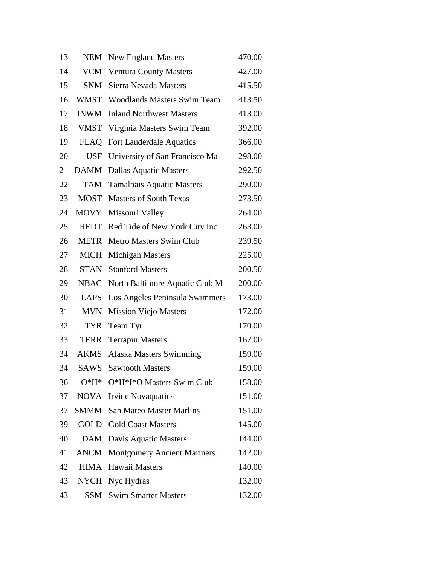| 13 | <b>NEM</b>  | <b>New England Masters</b>         | 470.00 |
|----|-------------|------------------------------------|--------|
| 14 | <b>VCM</b>  | <b>Ventura County Masters</b>      | 427.00 |
| 15 | SNM         | Sierra Nevada Masters              | 415.50 |
| 16 | WMST        | <b>Woodlands Masters Swim Team</b> | 413.50 |
| 17 | <b>INWM</b> | <b>Inland Northwest Masters</b>    | 413.00 |
| 18 | <b>VMST</b> | Virginia Masters Swim Team         | 392.00 |
| 19 | <b>FLAQ</b> | <b>Fort Lauderdale Aquatics</b>    | 366.00 |
| 20 | <b>USF</b>  | University of San Francisco Ma     | 298.00 |
| 21 | <b>DAMM</b> | <b>Dallas Aquatic Masters</b>      | 292.50 |
| 22 | TAM         | <b>Tamalpais Aquatic Masters</b>   | 290.00 |
| 23 | <b>MOST</b> | <b>Masters of South Texas</b>      | 273.50 |
| 24 | <b>MOVY</b> | Missouri Valley                    | 264.00 |
| 25 | <b>REDT</b> | Red Tide of New York City Inc      | 263.00 |
| 26 | <b>METR</b> | Metro Masters Swim Club            | 239.50 |
| 27 | <b>MICH</b> | Michigan Masters                   | 225.00 |
| 28 | <b>STAN</b> | <b>Stanford Masters</b>            | 200.50 |
| 29 | <b>NBAC</b> | North Baltimore Aquatic Club M     | 200.00 |
| 30 | <b>LAPS</b> | Los Angeles Peninsula Swimmers     | 173.00 |
| 31 | <b>MVN</b>  | <b>Mission Viejo Masters</b>       | 172.00 |
| 32 | <b>TYR</b>  | Team Tyr                           | 170.00 |
| 33 | <b>TERR</b> | <b>Terrapin Masters</b>            | 167.00 |
| 34 | AKMS        | Alaska Masters Swimming            | 159.00 |
| 34 | <b>SAWS</b> | <b>Sawtooth Masters</b>            | 159.00 |
| 36 | $O*H*$      | O*H*I*O Masters Swim Club          | 158.00 |
| 37 | <b>NOVA</b> | <b>Irvine Novaquatics</b>          | 151.00 |
| 37 | <b>SMMM</b> | <b>San Mateo Master Marlins</b>    | 151.00 |
| 39 | GOLD        | <b>Gold Coast Masters</b>          | 145.00 |
| 40 | DAM         | Davis Aquatic Masters              | 144.00 |
| 41 | <b>ANCM</b> | <b>Montgomery Ancient Mariners</b> | 142.00 |
| 42 | HIMA        | Hawaii Masters                     | 140.00 |
| 43 |             | NYCH Nyc Hydras                    | 132.00 |
| 43 | SSM         | <b>Swim Smarter Masters</b>        | 132.00 |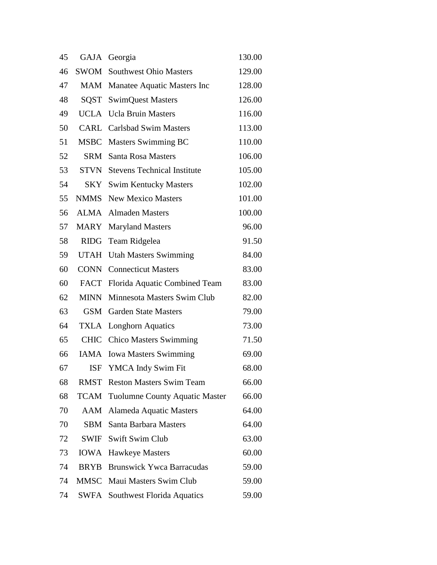| 45 |             | GAJA Georgia                          | 130.00 |
|----|-------------|---------------------------------------|--------|
| 46 | SWOM        | <b>Southwest Ohio Masters</b>         | 129.00 |
| 47 |             | MAM Manatee Aquatic Masters Inc       | 128.00 |
| 48 |             | <b>SQST</b> SwimQuest Masters         | 126.00 |
| 49 |             | <b>UCLA</b> Ucla Bruin Masters        | 116.00 |
| 50 |             | <b>CARL</b> Carlsbad Swim Masters     | 113.00 |
| 51 |             | MSBC Masters Swimming BC              | 110.00 |
| 52 | <b>SRM</b>  | <b>Santa Rosa Masters</b>             | 106.00 |
| 53 | STVN        | <b>Stevens Technical Institute</b>    | 105.00 |
| 54 |             | <b>SKY</b> Swim Kentucky Masters      | 102.00 |
| 55 | <b>NMMS</b> | <b>New Mexico Masters</b>             | 101.00 |
| 56 | ALMA        | <b>Almaden Masters</b>                | 100.00 |
| 57 | MARY        | <b>Maryland Masters</b>               | 96.00  |
| 58 | RIDG        | Team Ridgelea                         | 91.50  |
| 59 | <b>UTAH</b> | <b>Utah Masters Swimming</b>          | 84.00  |
| 60 | CONN        | <b>Connecticut Masters</b>            | 83.00  |
| 60 | FACT        | Florida Aquatic Combined Team         | 83.00  |
| 62 | MINN        | Minnesota Masters Swim Club           | 82.00  |
| 63 | GSM         | <b>Garden State Masters</b>           | 79.00  |
| 64 | TXLA        | Longhorn Aquatics                     | 73.00  |
| 65 | <b>CHIC</b> | <b>Chico Masters Swimming</b>         | 71.50  |
| 66 | IAMA        | <b>Iowa Masters Swimming</b>          | 69.00  |
| 67 | <b>ISF</b>  | YMCA Indy Swim Fit                    | 68.00  |
| 68 | <b>RMST</b> | <b>Reston Masters Swim Team</b>       | 66.00  |
| 68 | <b>TCAM</b> | <b>Tuolumne County Aquatic Master</b> | 66.00  |
| 70 | AAM         | <b>Alameda Aquatic Masters</b>        | 64.00  |
| 70 | SBM         | Santa Barbara Masters                 | 64.00  |
| 72 | SWIF        | <b>Swift Swim Club</b>                | 63.00  |
| 73 | <b>IOWA</b> | <b>Hawkeye Masters</b>                | 60.00  |
| 74 | <b>BRYB</b> | <b>Brunswick Ywca Barracudas</b>      | 59.00  |
| 74 | <b>MMSC</b> | Maui Masters Swim Club                | 59.00  |
| 74 | SWFA        | Southwest Florida Aquatics            | 59.00  |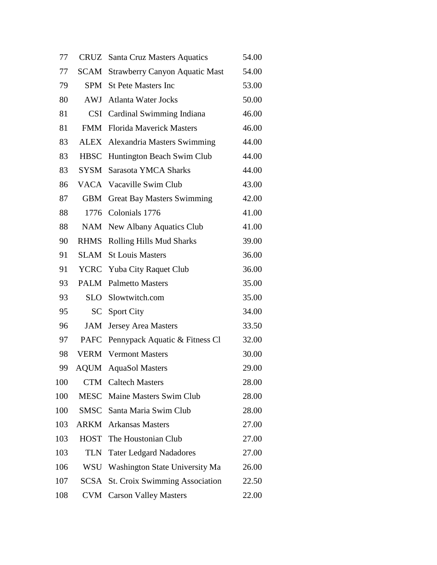| 77  |             | CRUZ Santa Cruz Masters Aquatics      | 54.00 |
|-----|-------------|---------------------------------------|-------|
| 77  | <b>SCAM</b> | <b>Strawberry Canyon Aquatic Mast</b> | 54.00 |
| 79  |             | <b>SPM</b> St Pete Masters Inc        | 53.00 |
| 80  |             | <b>AWJ</b> Atlanta Water Jocks        | 50.00 |
| 81  | <b>CSI</b>  | Cardinal Swimming Indiana             | 46.00 |
| 81  | <b>FMM</b>  | <b>Florida Maverick Masters</b>       | 46.00 |
| 83  | ALEX        | Alexandria Masters Swimming           | 44.00 |
| 83  | <b>HBSC</b> | Huntington Beach Swim Club            | 44.00 |
| 83  | <b>SYSM</b> | Sarasota YMCA Sharks                  | 44.00 |
| 86  |             | VACA Vacaville Swim Club              | 43.00 |
| 87  | <b>GBM</b>  | <b>Great Bay Masters Swimming</b>     | 42.00 |
| 88  | 1776        | Colonials 1776                        | 41.00 |
| 88  |             | NAM New Albany Aquatics Club          | 41.00 |
| 90  | <b>RHMS</b> | Rolling Hills Mud Sharks              | 39.00 |
| 91  | <b>SLAM</b> | <b>St Louis Masters</b>               | 36.00 |
| 91  |             | YCRC Yuba City Raquet Club            | 36.00 |
| 93  |             | <b>PALM</b> Palmetto Masters          | 35.00 |
| 93  | <b>SLO</b>  | Slowtwitch.com                        | 35.00 |
| 95  | SC          | <b>Sport City</b>                     | 34.00 |
| 96  | <b>JAM</b>  | <b>Jersey Area Masters</b>            | 33.50 |
| 97  | <b>PAFC</b> | Pennypack Aquatic & Fitness Cl        | 32.00 |
| 98  | <b>VERM</b> | <b>Vermont Masters</b>                | 30.00 |
| 99  | <b>AOUM</b> | <b>AquaSol Masters</b>                | 29.00 |
| 100 | <b>CTM</b>  | <b>Caltech Masters</b>                | 28.00 |
| 100 | <b>MESC</b> | Maine Masters Swim Club               | 28.00 |
| 100 | <b>SMSC</b> | Santa Maria Swim Club                 | 28.00 |
| 103 | ARKM        | <b>Arkansas Masters</b>               | 27.00 |
| 103 | <b>HOST</b> | The Houstonian Club                   | 27.00 |
| 103 | <b>TLN</b>  | <b>Tater Ledgard Nadadores</b>        | 27.00 |
| 106 | WSU         | Washington State University Ma        | 26.00 |
| 107 | SCSA        | <b>St. Croix Swimming Association</b> | 22.50 |
| 108 | <b>CVM</b>  | <b>Carson Valley Masters</b>          | 22.00 |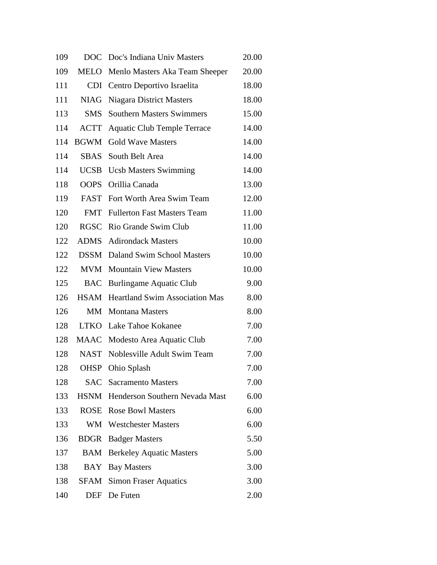| 109 | <b>DOC</b>  | Doc's Indiana Univ Masters            | 20.00 |
|-----|-------------|---------------------------------------|-------|
| 109 | <b>MELO</b> | Menlo Masters Aka Team Sheeper        | 20.00 |
| 111 | <b>CDI</b>  | Centro Deportivo Israelita            | 18.00 |
| 111 | <b>NIAG</b> | <b>Niagara District Masters</b>       | 18.00 |
| 113 | <b>SMS</b>  | <b>Southern Masters Swimmers</b>      | 15.00 |
| 114 | <b>ACTT</b> | <b>Aquatic Club Temple Terrace</b>    | 14.00 |
| 114 | <b>BGWM</b> | <b>Gold Wave Masters</b>              | 14.00 |
| 114 | <b>SBAS</b> | South Belt Area                       | 14.00 |
| 114 | <b>UCSB</b> | <b>Ucsb Masters Swimming</b>          | 14.00 |
| 118 | <b>OOPS</b> | Orillia Canada                        | 13.00 |
| 119 | <b>FAST</b> | Fort Worth Area Swim Team             | 12.00 |
| 120 | <b>FMT</b>  | <b>Fullerton Fast Masters Team</b>    | 11.00 |
| 120 | <b>RGSC</b> | Rio Grande Swim Club                  | 11.00 |
| 122 | <b>ADMS</b> | <b>Adirondack Masters</b>             | 10.00 |
| 122 | <b>DSSM</b> | Daland Swim School Masters            | 10.00 |
| 122 | <b>MVM</b>  | <b>Mountain View Masters</b>          | 10.00 |
| 125 | <b>BAC</b>  | <b>Burlingame Aquatic Club</b>        | 9.00  |
| 126 | <b>HSAM</b> | <b>Heartland Swim Association Mas</b> | 8.00  |
| 126 | MM          | <b>Montana Masters</b>                | 8.00  |
| 128 | LTKO        | Lake Tahoe Kokanee                    | 7.00  |
| 128 | MAAC        | Modesto Area Aquatic Club             | 7.00  |
| 128 | <b>NAST</b> | Noblesville Adult Swim Team           | 7.00  |
| 128 | <b>OHSP</b> | Ohio Splash                           | 7.00  |
| 128 |             | <b>SAC</b> Sacramento Masters         | 7.00  |
| 133 |             | HSNM Henderson Southern Nevada Mast   | 6.00  |
| 133 |             | <b>ROSE</b> Rose Bowl Masters         | 6.00  |
| 133 | WM          | <b>Westchester Masters</b>            | 6.00  |
| 136 | <b>BDGR</b> | <b>Badger Masters</b>                 | 5.50  |
| 137 | <b>BAM</b>  | <b>Berkeley Aquatic Masters</b>       | 5.00  |
| 138 | <b>BAY</b>  | <b>Bay Masters</b>                    | 3.00  |
| 138 | SFAM        | <b>Simon Fraser Aquatics</b>          | 3.00  |
| 140 | DEF         | De Futen                              | 2.00  |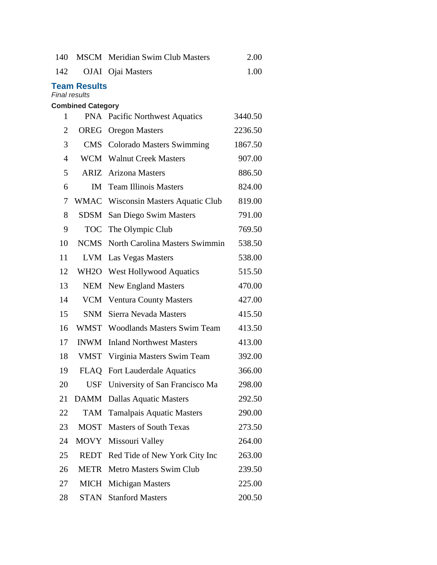| 140                                         |                          | <b>MSCM</b> Meridian Swim Club Masters | 2.00    |  |  |
|---------------------------------------------|--------------------------|----------------------------------------|---------|--|--|
| 142                                         |                          | OJAI Ojai Masters                      | 1.00    |  |  |
| <b>Team Results</b><br><b>Final results</b> |                          |                                        |         |  |  |
| 1                                           | <b>Combined Category</b> | <b>PNA</b> Pacific Northwest Aquatics  | 3440.50 |  |  |
| 2                                           | OREG                     | <b>Oregon Masters</b>                  | 2236.50 |  |  |
| 3                                           | <b>CMS</b>               | <b>Colorado Masters Swimming</b>       | 1867.50 |  |  |
| $\overline{4}$                              |                          | WCM Walnut Creek Masters               | 907.00  |  |  |
| 5                                           |                          | <b>ARIZ</b> Arizona Masters            | 886.50  |  |  |
| 6                                           | IM                       | <b>Team Illinois Masters</b>           | 824.00  |  |  |
| 7                                           |                          | WMAC Wisconsin Masters Aquatic Club    | 819.00  |  |  |
| 8                                           | <b>SDSM</b>              | San Diego Swim Masters                 | 791.00  |  |  |
| 9                                           | <b>TOC</b>               | The Olympic Club                       | 769.50  |  |  |
| 10                                          | <b>NCMS</b>              | North Carolina Masters Swimmin         | 538.50  |  |  |
| 11                                          | <b>LVM</b>               | Las Vegas Masters                      | 538.00  |  |  |
| 12                                          | WH2O                     | <b>West Hollywood Aquatics</b>         | 515.50  |  |  |
| 13                                          | <b>NEM</b>               | <b>New England Masters</b>             | 470.00  |  |  |
| 14                                          |                          | VCM Ventura County Masters             | 427.00  |  |  |
| 15                                          | <b>SNM</b>               | Sierra Nevada Masters                  | 415.50  |  |  |
| 16                                          |                          | WMST Woodlands Masters Swim Team       | 413.50  |  |  |
| 17                                          | <b>INWM</b>              | <b>Inland Northwest Masters</b>        | 413.00  |  |  |
| 18                                          | VMST                     | Virginia Masters Swim Team             | 392.00  |  |  |
| 19                                          |                          | FLAQ Fort Lauderdale Aquatics          | 366.00  |  |  |
| 20                                          | <b>USF</b>               | University of San Francisco Ma         | 298.00  |  |  |
| 21                                          | <b>DAMM</b>              | <b>Dallas Aquatic Masters</b>          | 292.50  |  |  |
| 22                                          | <b>TAM</b>               | <b>Tamalpais Aquatic Masters</b>       | 290.00  |  |  |
| 23                                          | <b>MOST</b>              | <b>Masters of South Texas</b>          | 273.50  |  |  |
| 24                                          | <b>MOVY</b>              | Missouri Valley                        | 264.00  |  |  |
| 25                                          | REDT                     | Red Tide of New York City Inc          | 263.00  |  |  |
| 26                                          | <b>METR</b>              | Metro Masters Swim Club                | 239.50  |  |  |
| 27                                          | <b>MICH</b>              | <b>Michigan Masters</b>                | 225.00  |  |  |
| 28                                          |                          | <b>STAN</b> Stanford Masters           | 200.50  |  |  |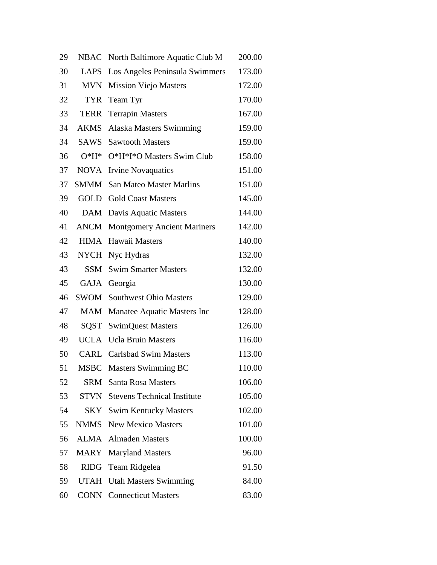| 29 | <b>NBAC</b> | North Baltimore Aquatic Club M          | 200.00 |
|----|-------------|-----------------------------------------|--------|
| 30 | LAPS        | Los Angeles Peninsula Swimmers          | 173.00 |
| 31 | <b>MVN</b>  | <b>Mission Viejo Masters</b>            | 172.00 |
| 32 | <b>TYR</b>  | Team Tyr                                | 170.00 |
| 33 | <b>TERR</b> | <b>Terrapin Masters</b>                 | 167.00 |
| 34 | <b>AKMS</b> | Alaska Masters Swimming                 | 159.00 |
| 34 | SAWS        | <b>Sawtooth Masters</b>                 | 159.00 |
| 36 | $O*H*$      | O*H*I*O Masters Swim Club               | 158.00 |
| 37 | <b>NOVA</b> | <b>Irvine Novaquatics</b>               | 151.00 |
| 37 | SMMM        | <b>San Mateo Master Marlins</b>         | 151.00 |
| 39 | GOLD        | <b>Gold Coast Masters</b>               | 145.00 |
| 40 | DAM         | Davis Aquatic Masters                   | 144.00 |
| 41 | ANCM        | <b>Montgomery Ancient Mariners</b>      | 142.00 |
| 42 | HIMA        | Hawaii Masters                          | 140.00 |
| 43 | <b>NYCH</b> | Nyc Hydras                              | 132.00 |
| 43 | SSM         | <b>Swim Smarter Masters</b>             | 132.00 |
| 45 | GAJA        | Georgia                                 | 130.00 |
| 46 | SWOM        | <b>Southwest Ohio Masters</b>           | 129.00 |
| 47 | MAM         | Manatee Aquatic Masters Inc             | 128.00 |
| 48 | SQST        | <b>SwimQuest Masters</b>                | 126.00 |
| 49 | UCLA        | <b>Ucla Bruin Masters</b>               | 116.00 |
| 50 | CARL        | <b>Carlsbad Swim Masters</b>            | 113.00 |
| 51 | <b>MSBC</b> | <b>Masters Swimming BC</b>              | 110.00 |
| 52 | <b>SRM</b>  | <b>Santa Rosa Masters</b>               | 106.00 |
| 53 |             | <b>STVN</b> Stevens Technical Institute | 105.00 |
| 54 | SKY         | <b>Swim Kentucky Masters</b>            | 102.00 |
| 55 |             | <b>NMMS</b> New Mexico Masters          | 101.00 |
| 56 | ALMA        | <b>Almaden Masters</b>                  | 100.00 |
| 57 | <b>MARY</b> | <b>Maryland Masters</b>                 | 96.00  |
| 58 | RIDG        | Team Ridgelea                           | 91.50  |
| 59 | UTAH        | <b>Utah Masters Swimming</b>            | 84.00  |
| 60 | CONN        | <b>Connecticut Masters</b>              | 83.00  |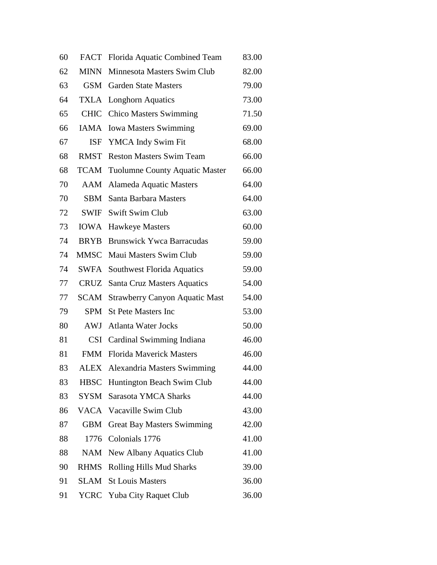| 60 | <b>FACT</b> | Florida Aquatic Combined Team              | 83.00 |
|----|-------------|--------------------------------------------|-------|
| 62 | <b>MINN</b> | Minnesota Masters Swim Club                | 82.00 |
| 63 |             | <b>GSM</b> Garden State Masters            | 79.00 |
| 64 | TXLA        | <b>Longhorn Aquatics</b>                   | 73.00 |
| 65 | <b>CHIC</b> | <b>Chico Masters Swimming</b>              | 71.50 |
| 66 | IAMA        | <b>Iowa Masters Swimming</b>               | 69.00 |
| 67 |             | ISF YMCA Indy Swim Fit                     | 68.00 |
| 68 | RMST        | <b>Reston Masters Swim Team</b>            | 66.00 |
| 68 |             | <b>TCAM</b> Tuolumne County Aquatic Master | 66.00 |
| 70 |             | <b>AAM</b> Alameda Aquatic Masters         | 64.00 |
| 70 | <b>SBM</b>  | Santa Barbara Masters                      | 64.00 |
| 72 | SWIF        | Swift Swim Club                            | 63.00 |
| 73 | <b>IOWA</b> | Hawkeye Masters                            | 60.00 |
| 74 | <b>BRYB</b> | <b>Brunswick Ywca Barracudas</b>           | 59.00 |
| 74 | MMSC        | Maui Masters Swim Club                     | 59.00 |
| 74 | SWFA        | Southwest Florida Aquatics                 | 59.00 |
| 77 | CRUZ        | Santa Cruz Masters Aquatics                | 54.00 |
| 77 | <b>SCAM</b> | <b>Strawberry Canyon Aquatic Mast</b>      | 54.00 |
| 79 | SPM         | <b>St Pete Masters Inc</b>                 | 53.00 |
| 80 |             | <b>AWJ</b> Atlanta Water Jocks             | 50.00 |
| 81 | <b>CSI</b>  | Cardinal Swimming Indiana                  | 46.00 |
| 81 | <b>FMM</b>  | <b>Florida Mayerick Masters</b>            | 46.00 |
| 83 |             | <b>ALEX</b> Alexandria Masters Swimming    | 44.00 |
| 83 | <b>HBSC</b> | Huntington Beach Swim Club                 | 44.00 |
| 83 | SYSM        | Sarasota YMCA Sharks                       | 44.00 |
| 86 |             | VACA Vacaville Swim Club                   | 43.00 |
| 87 | <b>GBM</b>  | <b>Great Bay Masters Swimming</b>          | 42.00 |
| 88 | 1776        | Colonials 1776                             | 41.00 |
| 88 | <b>NAM</b>  | <b>New Albany Aquatics Club</b>            | 41.00 |
| 90 | <b>RHMS</b> | Rolling Hills Mud Sharks                   | 39.00 |
| 91 | SLAM        | <b>St Louis Masters</b>                    | 36.00 |
| 91 | YCRC        | Yuba City Raquet Club                      | 36.00 |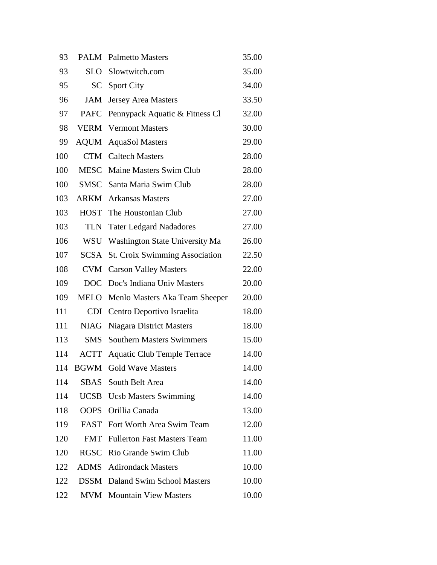| 93  |             | <b>PALM</b> Palmetto Masters          | 35.00 |
|-----|-------------|---------------------------------------|-------|
| 93  | <b>SLO</b>  | Slowtwitch.com                        | 35.00 |
| 95  | <b>SC</b>   | <b>Sport City</b>                     | 34.00 |
| 96  | <b>JAM</b>  | <b>Jersey Area Masters</b>            | 33.50 |
| 97  | <b>PAFC</b> | Pennypack Aquatic & Fitness Cl        | 32.00 |
| 98  | <b>VERM</b> | <b>Vermont Masters</b>                | 30.00 |
| 99  | <b>AQUM</b> | <b>AquaSol Masters</b>                | 29.00 |
| 100 | <b>CTM</b>  | <b>Caltech Masters</b>                | 28.00 |
| 100 | <b>MESC</b> | Maine Masters Swim Club               | 28.00 |
| 100 |             | <b>SMSC</b> Santa Maria Swim Club     | 28.00 |
| 103 |             | <b>ARKM</b> Arkansas Masters          | 27.00 |
| 103 | <b>HOST</b> | The Houstonian Club                   | 27.00 |
| 103 | <b>TLN</b>  | <b>Tater Ledgard Nadadores</b>        | 27.00 |
| 106 | <b>WSU</b>  | Washington State University Ma        | 26.00 |
| 107 | <b>SCSA</b> | <b>St. Croix Swimming Association</b> | 22.50 |
| 108 | <b>CVM</b>  | <b>Carson Valley Masters</b>          | 22.00 |
| 109 | <b>DOC</b>  | Doc's Indiana Univ Masters            | 20.00 |
| 109 | <b>MELO</b> | Menlo Masters Aka Team Sheeper        | 20.00 |
| 111 | <b>CDI</b>  | Centro Deportivo Israelita            | 18.00 |
| 111 | <b>NIAG</b> | <b>Niagara District Masters</b>       | 18.00 |
| 113 | <b>SMS</b>  | <b>Southern Masters Swimmers</b>      | 15.00 |
| 114 | <b>ACTT</b> | <b>Aquatic Club Temple Terrace</b>    | 14.00 |
| 114 | <b>BGWM</b> | <b>Gold Wave Masters</b>              | 14.00 |
| 114 |             | <b>SBAS</b> South Belt Area           | 14.00 |
| 114 |             | <b>UCSB</b> Ucsb Masters Swimming     | 14.00 |
| 118 | <b>OOPS</b> | Orillia Canada                        | 13.00 |
| 119 |             | FAST Fort Worth Area Swim Team        | 12.00 |
| 120 | <b>FMT</b>  | <b>Fullerton Fast Masters Team</b>    | 11.00 |
| 120 | <b>RGSC</b> | Rio Grande Swim Club                  | 11.00 |
| 122 | ADMS        | <b>Adirondack Masters</b>             | 10.00 |
| 122 | <b>DSSM</b> | Daland Swim School Masters            | 10.00 |
| 122 | <b>MVM</b>  | <b>Mountain View Masters</b>          | 10.00 |